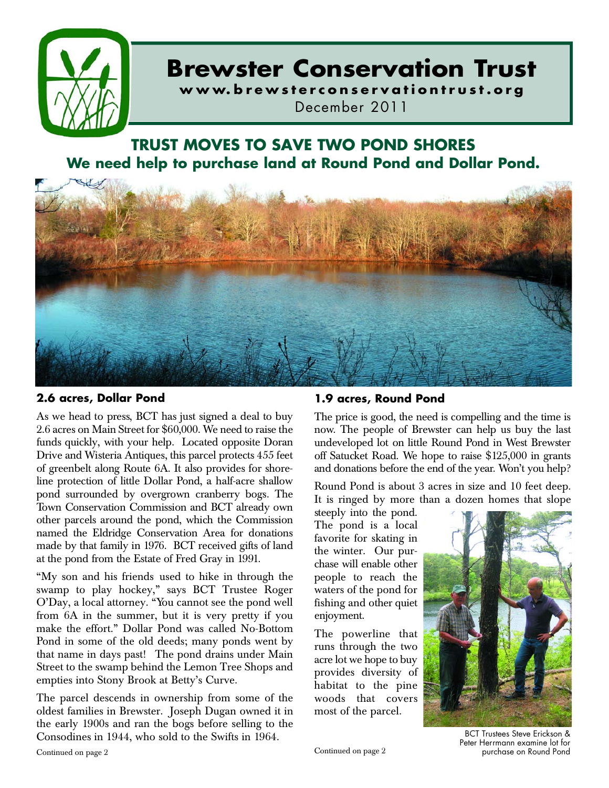

# **Brewster Conservation Trust**

**w w w. b r e w s t e r c o n s e r v a t i o n t r u s t . o r g** December 2011

# **TRUST MOVES TO SAVE TWO POND SHORES We need help to purchase land at Round Pond and Dollar Pond.**



### **2.6 acres, Dollar Pond**

As we head to press, BCT has just signed a deal to buy 2.6 acres on Main Street for \$60,000. We need to raise the funds quickly, with your help. Located opposite Doran Drive and Wisteria Antiques, this parcel protects 455 feet of greenbelt along Route 6A. It also provides for shoreline protection of little Dollar Pond, a half-acre shallow pond surrounded by overgrown cranberry bogs. The Town Conservation Commission and BCT already own other parcels around the pond, which the Commission named the Eldridge Conservation Area for donations made by that family in 1976. BCT received gifts of land at the pond from the Estate of Fred Gray in 1991.

"My son and his friends used to hike in through the swamp to play hockey," says BCT Trustee Roger O'Day, a local attorney. "You cannot see the pond well from 6A in the summer, but it is very pretty if you make the effort." Dollar Pond was called No-Bottom Pond in some of the old deeds; many ponds went by that name in days past! The pond drains under Main Street to the swamp behind the Lemon Tree Shops and empties into Stony Brook at Betty's Curve.

The parcel descends in ownership from some of the oldest families in Brewster. Joseph Dugan owned it in the early 1900s and ran the bogs before selling to the Consodines in 1944, who sold to the Swifts in 1964.

### **1.9 acres, Round Pond**

The price is good, the need is compelling and the time is now. The people of Brewster can help us buy the last undeveloped lot on little Round Pond in West Brewster off Satucket Road. We hope to raise \$125,000 in grants and donations before the end of the year. Won't you help?

Round Pond is about 3 acres in size and 10 feet deep. It is ringed by more than a dozen homes that slope

steeply into the pond. The pond is a local favorite for skating in the winter. Our purchase will enable other people to reach the waters of the pond for fishing and other quiet enjoyment.

The powerline that runs through the two acre lot we hope to buy provides diversity of habitat to the pine woods that covers most of the parcel.



BCT Trustees Steve Erickson & Peter Herrmann examine lot for purchase on Round Pond

Continued on page 2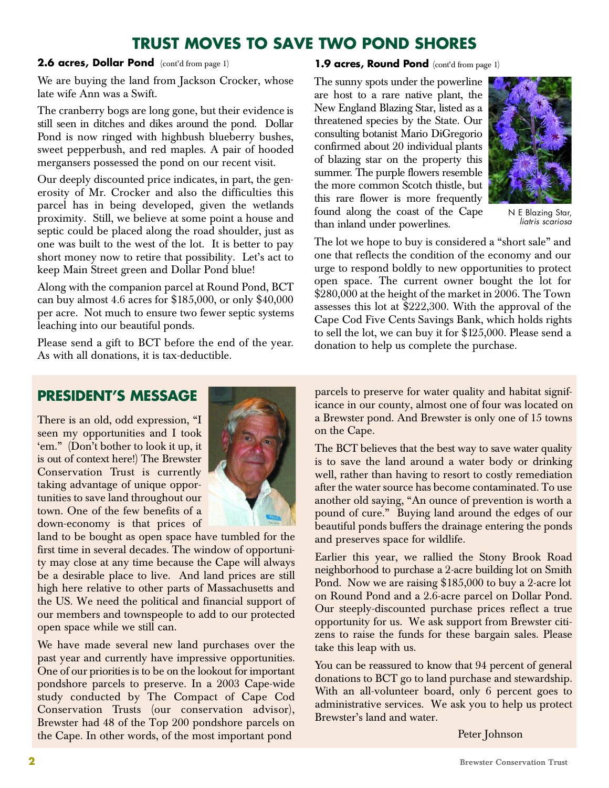# **TRUST MOVES TO SAVE TWO POND SHORES**

2.6 acres, Dollar Pond (cont'd from page 1)

We are buying the land from Jackson Crocker, whose late wife Ann was a Swift.

The cranberry bogs are long gone, but their evidence is still seen in ditches and dikes around the pond. Dollar Pond is now ringed with highbush blueberry bushes, sweet pepperbush, and red maples. A pair of hooded mergansers possessed the pond on our recent visit.

Our deeply discounted price indicates, in part, the generosity of Mr. Crocker and also the difficulties this parcel has in being developed, given the wetlands proximity. Still, we believe at some point a house and septic could be placed along the road shoulder, just as one was built to the west of the lot. It is better to pay short money now to retire that possibility. Let's act to keep Main Street green and Dollar Pond blue!

Along with the companion parcel at Round Pond, BCT can buy almost 4.6 acres for \$185,000, or only \$40,000 per acre. Not much to ensure two fewer septic systems leaching into our beautiful ponds.

Please send a gift to BCT before the end of the year. As with all donations, it is tax-deductible.

### **1.9 acres, Round Pond** (cont'd from page 1)

The sunny spots under the powerline are host to a rare native plant, the New England Blazing Star, listed as a threatened species by the State. Our consulting botanist Mario DiGregorio confirmed about 20 individual plants of blazing star on the property this summer. The purple flowers resemble the more common Scotch thistle, but this rare flower is more frequently found along the coast of the Cape than inland under powerlines.



N E Blazing Star, *liatris scariosa*

The lot we hope to buy is considered a "short sale" and one that reflects the condition of the economy and our urge to respond boldly to new opportunities to protect open space. The current owner bought the lot for \$280,000 at the height of the market in 2006. The Town assesses this lot at \$222,300. With the approval of the Cape Cod Five Cents Savings Bank, which holds rights to sell the lot, we can buy it for \$125,000. Please send a donation to help us complete the purchase.

# **PRESIDENT'S MESSAGE**

There is an old, odd expression, "I seen my opportunities and I took 'em." (Don't bother to look it up, it is out of context here!) The Brewster Conservation Trust is currently taking advantage of unique opportunities to save land throughout our town. One of the few benefits of a down-economy is that prices of



land to be bought as open space have tumbled for the first time in several decades. The window of opportunity may close at any time because the Cape will always be a desirable place to live. And land prices are still high here relative to other parts of Massachusetts and the US. We need the political and financial support of our members and townspeople to add to our protected open space while we still can.

We have made several new land purchases over the past year and currently have impressive opportunities. One of our priorities is to be on the lookout for important pondshore parcels to preserve. In a 2003 Cape-wide study conducted by The Compact of Cape Cod Conservation Trusts (our conservation advisor), Brewster had 48 of the Top 200 pondshore parcels on the Cape. In other words, of the most important pond

parcels to preserve for water quality and habitat significance in our county, almost one of four was located on a Brewster pond. And Brewster is only one of 15 towns on the Cape.

The BCT believes that the best way to save water quality is to save the land around a water body or drinking well, rather than having to resort to costly remediation after the water source has become contaminated. To use another old saying, "An ounce of prevention is worth a pound of cure." Buying land around the edges of our beautiful ponds buffers the drainage entering the ponds and preserves space for wildlife.

Earlier this year, we rallied the Stony Brook Road neighborhood to purchase a 2-acre building lot on Smith Pond. Now we are raising \$185,000 to buy a 2-acre lot on Round Pond and a 2.6-acre parcel on Dollar Pond. Our steeply-discounted purchase prices reflect a true opportunity for us. We ask support from Brewster citizens to raise the funds for these bargain sales. Please take this leap with us.

You can be reassured to know that 94 percent of general donations to BCT go to land purchase and stewardship. With an all-volunteer board, only 6 percent goes to administrative services. We ask you to help us protect Brewster's land and water.

Peter Johnson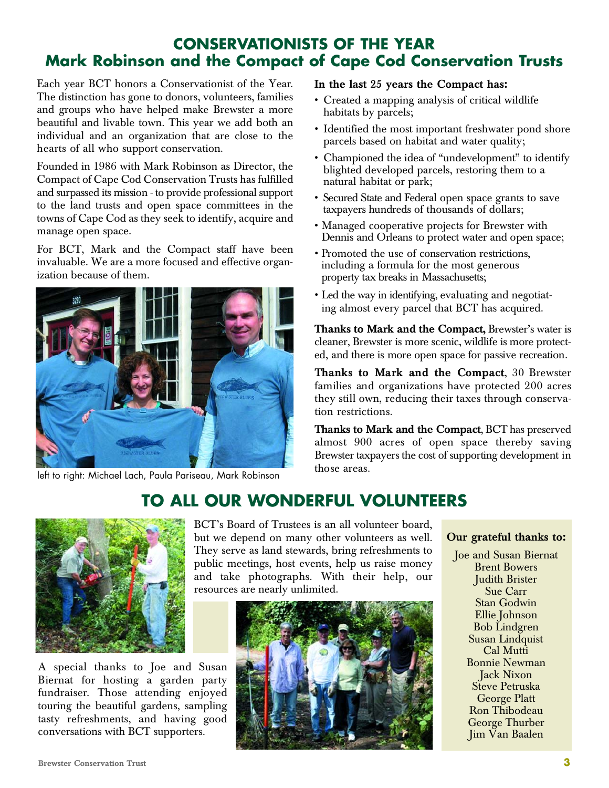## **CONSERVATIONISTS OF THE YEAR Mark Robinson and the Compact of Cape Cod Conservation Trusts**

Each year BCT honors a Conservationist of the Year. The distinction has gone to donors, volunteers, families and groups who have helped make Brewster a more beautiful and livable town. This year we add both an individual and an organization that are close to the hearts of all who support conservation.

Founded in 1986 with Mark Robinson as Director, the Compact of Cape Cod Conservation Trusts has fulfilled and surpassed its mission - to provide professional support to the land trusts and open space committees in the towns of Cape Cod as they seek to identify, acquire and manage open space.

For BCT, Mark and the Compact staff have been invaluable. We are a more focused and effective organization because of them.



left to right: Michael Lach, Paula Pariseau, Mark Robinson

### In the last 25 years the Compact has:

- Created a mapping analysis of critical wildlife habitats by parcels;
- Identified the most important freshwater pond shore parcels based on habitat and water quality;
- Championed the idea of "undevelopment" to identify blighted developed parcels, restoring them to a natural habitat or park;
- Secured State and Federal open space grants to save taxpayers hundreds of thousands of dollars;
- Managed cooperative projects for Brewster with Dennis and Orleans to protect water and open space;
- Promoted the use of conservation restrictions, including a formula for the most generous property tax breaks in Massachusetts;
- Led the way in identifying, evaluating and negotiating almost every parcel that BCT has acquired.

Thanks to Mark and the Compact, Brewster's water is cleaner, Brewster is more scenic, wildlife is more protected, and there is more open space for passive recreation.

Thanks to Mark and the Compact,  $30$  Brewster families and organizations have protected 200 acres they still own, reducing their taxes through conservation restrictions.

Thanks to Mark and the Compact, BCT has preserved almost 900 acres of open space thereby saving Brewster taxpayers the cost of supporting development in those areas.

# **TO ALL OUR WONDERFUL VOLUNTEERS**



A special thanks to Joe and Susan Biernat for hosting a garden party fundraiser. Those attending enjoyed touring the beautiful gardens, sampling tasty refreshments, and having good conversations with BCT supporters.

BCT's Board of Trustees is an all volunteer board, but we depend on many other volunteers as well. They serve as land stewards, bring refreshments to public meetings, host events, help us raise money and take photographs. With their help, our resources are nearly unlimited.



### Our grateful thanks to:

Joe and Susan Biernat Brent Bowers Judith Brister Sue Carr Stan Godwin Ellie Johnson Bob Lindgren Susan Lindquist Cal Mutti Bonnie Newman Jack Nixon Steve Petruska George Platt Ron Thibodeau George Thurber Jim Van Baalen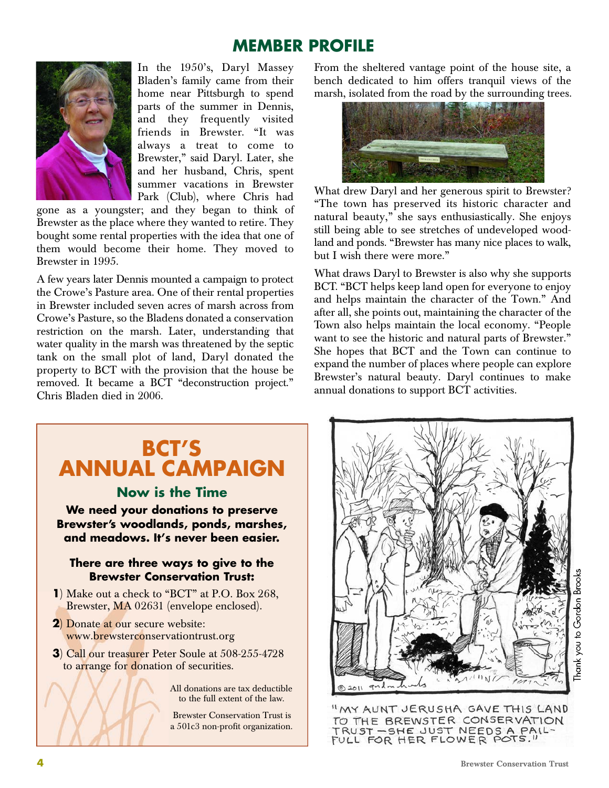# **MEMBER PROFILE**



In the 1950's, Daryl Massey Bladen's family came from their home near Pittsburgh to spend parts of the summer in Dennis, and they frequently visited friends in Brewster. "It was always a treat to come to Brewster," said Daryl. Later, she and her husband, Chris, spent summer vacations in Brewster Park (Club), where Chris had

gone as a youngster; and they began to think of Brewster as the place where they wanted to retire. They bought some rental properties with the idea that one of them would become their home. They moved to Brewster in 1995.

A few years later Dennis mounted a campaign to protect the Crowe's Pasture area. One of their rental properties in Brewster included seven acres of marsh across from Crowe's Pasture, so the Bladens donated a conservation restriction on the marsh. Later, understanding that water quality in the marsh was threatened by the septic tank on the small plot of land, Daryl donated the property to BCT with the provision that the house be removed. It became a BCT "deconstruction project." Chris Bladen died in 2006.

From the sheltered vantage point of the house site, a bench dedicated to him offers tranquil views of the marsh, isolated from the road by the surrounding trees.



What drew Daryl and her generous spirit to Brewster? "The town has preserved its historic character and natural beauty," she says enthusiastically. She enjoys still being able to see stretches of undeveloped woodland and ponds. "Brewster has many nice places to walk, but I wish there were more."

What draws Daryl to Brewster is also why she supports BCT. "BCT helps keep land open for everyone to enjoy and helps maintain the character of the Town." And after all, she points out, maintaining the character of the Town also helps maintain the local economy. "People want to see the historic and natural parts of Brewster." She hopes that BCT and the Town can continue to expand the number of places where people can explore Brewster's natural beauty. Daryl continues to make annual donations to support BCT activities.

# **BCT'S ANNUAL CAMPAIGN**

### **Now is the Time**

**We need your donations to preserve Brewster's woodlands, ponds, marshes, and meadows. It's never been easier.**

### **There are three ways to give to the Brewster Conservation Trust:**

- **1**) Make out a check to "BCT" at P.O. Box 268, Brewster, MA 02631 (envelope enclosed).
- **2**) Donate at our secure website: www.brewsterconservationtrust.org
- **3**) Call our treasurer Peter Soule at 508-255-4728 to arrange for donation of securities.

All donations are tax deductible to the full extent of the law.

Brewster Conservation Trust is a 501c3 non-profit organization.



"MY AUNT JERUSHA GAVE THIS LAND TO THE BREWSTER CONSERVATION TRUST - SHE JUST NEEDS A PAIL-FULL FOR HER FLOWER POTS."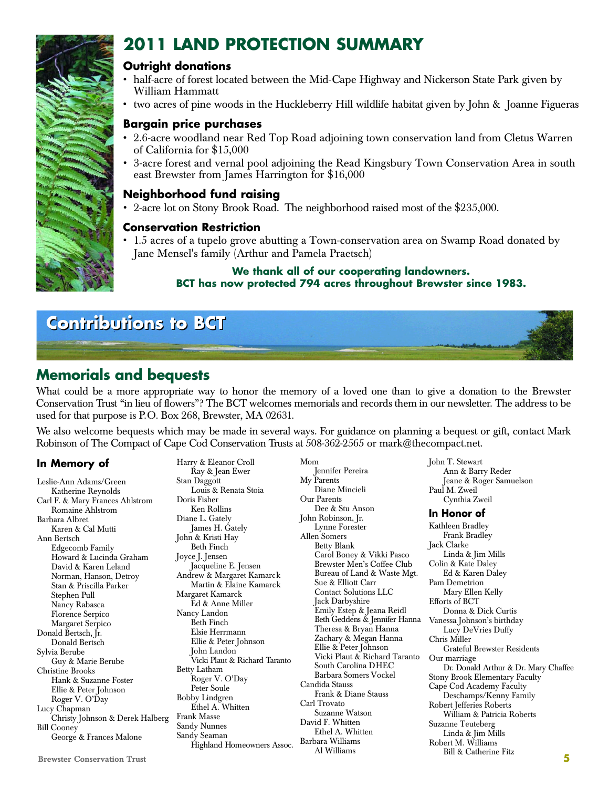# **2011 LAND PROTECTION SUMMARY**

### **Outright donations**

- half-acre of forest located between the Mid-Cape Highway and Nickerson State Park given by William Hammatt
- two acres of pine woods in the Huckleberry Hill wildlife habitat given by John & Joanne Figueras

### **Bargain price purchases**

- 2.6-acre woodland near Red Top Road adjoining town conservation land from Cletus Warren of California for \$15,000
- 3-acre forest and vernal pool adjoining the Read Kingsbury Town Conservation Area in south east Brewster from James Harrington for \$16,000

### **Neighborhood fund raising**

2-acre lot on Stony Brook Road. The neighborhood raised most of the \$235,000.

### **Conservation Restriction**

• 1.5 acres of a tupelo grove abutting a Town-conservation area on Swamp Road donated by Jane Mensel's family (Arthur and Pamela Praetsch)

### **We thank all of our cooperating landowners. BCT has now protected 794 acres throughout Brewster since 1983.**



### **Memorials and bequests**

What could be a more appropriate way to honor the memory of a loved one than to give a donation to the Brewster Conservation Trust "in lieu of flowers"? The BCT welcomes memorials and records them in our newsletter. The address to be used for that purpose is P.O. Box 268, Brewster, MA 02631.

We also welcome bequests which may be made in several ways. For guidance on planning a bequest or gift, contact Mark Robinson of The Compact of Cape Cod Conservation Trusts at 508-362-2565 or mark@thecompact.net.

### **In Memory of**

Leslie-Ann Adams/Green Katherine Reynolds Carl F. & Mary Frances Ahlstrom Romaine Ahlstrom Barbara Albret Karen & Cal Mutti Ann Bertsch Edgecomb Family Howard & Lucinda Graham David & Karen Leland Norman, Hanson, Detroy Stan & Priscilla Parker Stephen Pull Nancy Rabasca Florence Serpico Margaret Serpico Donald Bertsch, Ir. Donald Bertsch Sylvia Berube Guy & Marie Berube Christine Brooks Hank & Suzanne Foster Ellie & Peter Johnson Roger V. O'Day Lucy Chapman Christy Johnson & Derek Halberg Bill Cooney George & Frances Malone

Brewster Conservation Trust **5** John T. Stewart Ann & Barry Reder Jeane & Roger Samuelson Paul M. Zweil Cynthia Zweil **In Honor of** Kathleen Bradley Frank Bradley Jack Clarke Linda & Jim Mills Colin & Kate Daley Ed & Karen Daley Pam Demetrion Mary Ellen Kelly Efforts of BCT Donna & Dick Curtis Vanessa Johnson's birthday Lucy DeVries Duffy Chris Miller Grateful Brewster Residents Our marriage Dr. Donald Arthur & Dr. Mary Chaffee Stony Brook Elementary Faculty Cape Cod Academy Faculty Deschamps/Kenny Family Robert Jefferies Roberts William & Patricia Roberts Suzanne Teuteberg Linda & Jim Mills Robert M. Williams Bill & Catherine Fitz Harry & Eleanor Croll Ray & Jean Ewer Stan Daggott Louis & Renata Stoia Doris Fisher Ken Rollins Diane L. Gately James H. Gately John & Kristi Hay Beth Finch Joyce J. Jensen Jacqueline E. Jensen Andrew & Margaret Kamarck Martin & Elaine Kamarck Margaret Kamarck Ed & Anne Miller Nancy Landon Beth Finch Elsie Herrmann Ellie & Peter Johnson John Landon Vicki Plaut & Richard Taranto Betty Latham Roger V. O'Day Peter Soule Bobby Lindgren Ethel A. Whitten Frank Masse Sandy Nunnes Sandy Seaman Highland Homeowners Assoc. Mom Jennifer Pereira My Parents Diane Mincieli Our Parents Dee & Stu Anson John Robinson, Jr. Lynne Forester Allen Somers Betty Blank Carol Boney & Vikki Pasco Brewster Men's Coffee Club Bureau of Land & Waste Mgt. Sue & Elliott Carr Contact Solutions LLC Jack Darbyshire Emily Estep & Jeana Reidl Beth Geddens & Jennifer Hanna Theresa & Bryan Hanna Zachary & Megan Hanna Ellie & Peter Johnson Vicki Plaut & Richard Taranto South Carolina DHEC Barbara Somers Vockel Candida Stauss Frank & Diane Stauss Carl Trovato Suzanne Watson David F. Whitten Ethel A. Whitten Barbara Williams Al Williams